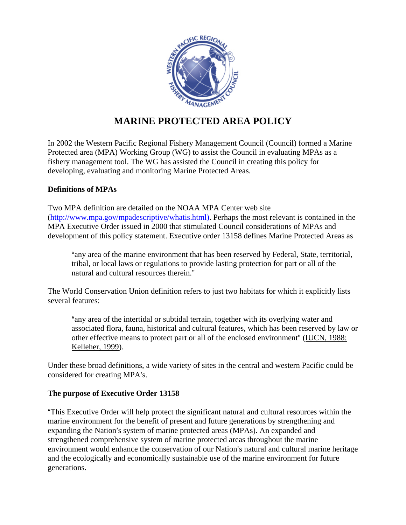

## **MARINE PROTECTED AREA POLICY**

In 2002 the Western Pacific Regional Fishery Management Council (Council) formed a Marine Protected area (MPA) Working Group (WG) to assist the Council in evaluating MPAs as a fishery management tool. The WG has assisted the Council in creating this policy for developing, evaluating and monitoring Marine Protected Areas.

## **Definitions of MPAs**

Two MPA definition are detailed on the NOAA MPA Center web site (http://www.mpa.gov/mpadescriptive/whatis.html). Perhaps the most relevant is contained in the MPA Executive Order issued in 2000 that stimulated Council considerations of MPAs and development of this policy statement. Executive order 13158 defines Marine Protected Areas as

"any area of the marine environment that has been reserved by Federal, State, territorial, tribal, or local laws or regulations to provide lasting protection for part or all of the natural and cultural resources therein."

The World Conservation Union definition refers to just two habitats for which it explicitly lists several features:

"any area of the intertidal or subtidal terrain, together with its overlying water and associated flora, fauna, historical and cultural features, which has been reserved by law or other effective means to protect part or all of the enclosed environment" (IUCN, 1988: Kelleher, 1999).

Under these broad definitions, a wide variety of sites in the central and western Pacific could be considered for creating MPA's.

## **The purpose of Executive Order 13158**

"This Executive Order will help protect the significant natural and cultural resources within the marine environment for the benefit of present and future generations by strengthening and expanding the Nation's system of marine protected areas (MPAs). An expanded and strengthened comprehensive system of marine protected areas throughout the marine environment would enhance the conservation of our Nation's natural and cultural marine heritage and the ecologically and economically sustainable use of the marine environment for future generations.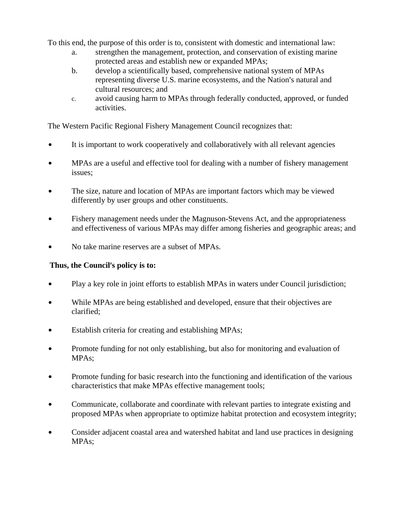To this end, the purpose of this order is to, consistent with domestic and international law:

- a. strengthen the management, protection, and conservation of existing marine protected areas and establish new or expanded MPAs;
- b. develop a scientifically based, comprehensive national system of MPAs representing diverse U.S. marine ecosystems, and the Nation's natural and cultural resources; and
- c. avoid causing harm to MPAs through federally conducted, approved, or funded activities.

The Western Pacific Regional Fishery Management Council recognizes that:

- It is important to work cooperatively and collaboratively with all relevant agencies
- MPAs are a useful and effective tool for dealing with a number of fishery management issues;
- The size, nature and location of MPAs are important factors which may be viewed differently by user groups and other constituents.
- Fishery management needs under the Magnuson-Stevens Act, and the appropriateness and effectiveness of various MPAs may differ among fisheries and geographic areas; and
- No take marine reserves are a subset of MPAs.

## Thus, the Council's policy is to:

- Play a key role in joint efforts to establish MPAs in waters under Council jurisdiction;
- While MPAs are being established and developed, ensure that their objectives are clarified;
- Establish criteria for creating and establishing MPAs;
- Promote funding for not only establishing, but also for monitoring and evaluation of MPAs;
- Promote funding for basic research into the functioning and identification of the various characteristics that make MPAs effective management tools;
- Communicate, collaborate and coordinate with relevant parties to integrate existing and proposed MPAs when appropriate to optimize habitat protection and ecosystem integrity;
- Consider adjacent coastal area and watershed habitat and land use practices in designing MPAs;